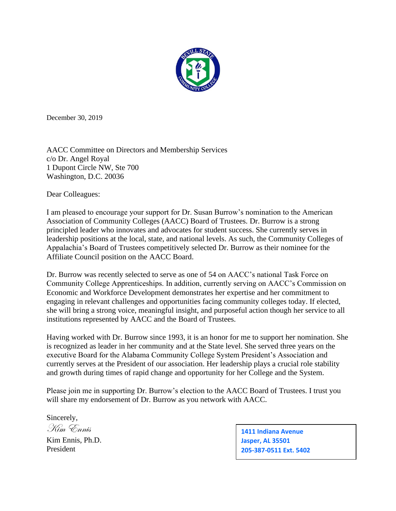

December 30, 2019

AACC Committee on Directors and Membership Services c/o Dr. Angel Royal 1 Dupont Circle NW, Ste 700 Washington, D.C. 20036

Dear Colleagues:

I am pleased to encourage your support for Dr. Susan Burrow's nomination to the American Association of Community Colleges (AACC) Board of Trustees. Dr. Burrow is a strong principled leader who innovates and advocates for student success. She currently serves in leadership positions at the local, state, and national levels. As such, the Community Colleges of Appalachia's Board of Trustees competitively selected Dr. Burrow as their nominee for the Affiliate Council position on the AACC Board.

Dr. Burrow was recently selected to serve as one of 54 on AACC's national Task Force on Community College Apprenticeships. In addition, currently serving on AACC's Commission on Economic and Workforce Development demonstrates her expertise and her commitment to engaging in relevant challenges and opportunities facing community colleges today. If elected, she will bring a strong voice, meaningful insight, and purposeful action though her service to all institutions represented by AACC and the Board of Trustees.

Having worked with Dr. Burrow since 1993, it is an honor for me to support her nomination. She is recognized as leader in her community and at the State level. She served three years on the executive Board for the Alabama Community College System President's Association and currently serves at the President of our association. Her leadership plays a crucial role stability and growth during times of rapid change and opportunity for her College and the System.

Please join me in supporting Dr. Burrow's election to the AACC Board of Trustees. I trust you will share my endorsement of Dr. Burrow as you network with AACC.

Sincerely, Kim Ennis

Kim Ennis, Ph.D. President

**1411 Indiana Avenue Jasper, AL 35501 205-387-0511 Ext. 5402**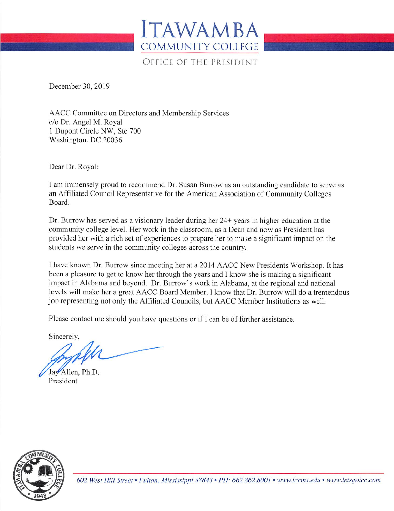

OFFICE OF THE PRESIDENT

December 30, 2019

AACC Committee on Directors and Membership Services c/o Dr. Angel M. Royal 1 Dupont Circle NW, Ste 700 Washington, DC 20036

Dear Dr. Royal:

I am immensely proud to recommend Dr. Susan Burrow as an outstanding candidate to serve as an Affiliated Council Representative for the American Association of Community Colleges Board.

Dr. Burrow has served as a visionary leader during her 24+ years in higher education at the community college level. Her work in the classroom, as a Dean and now as President has provided her with a rich set of experiences to prepare her to make a significant impact on the students we serve in the community colleges across the country.

I have known Dr. Burrow since meeting her at a 2014 AACC New Presidents Workshop. It has been a pleasure to get to know her through the years and I know she is making a significant impact in Alabama and beyond. Dr. Burrow's work in Alabama, at the regional and national levels will make her a great AACC Board Member. I know that Dr. Burrow will do a tremendous job representing not only the Affiliated Councils, but AACC Member Institutions as well.

Please contact me should you have questions or if I can be of further assistance.

Sincerely,

Jav Allen, Ph.D. President



602 West Hill Street • Fulton, Mississippi 38843 • PH: 662.862.8001 • www.iccms.edu • www.letsgoicc.com